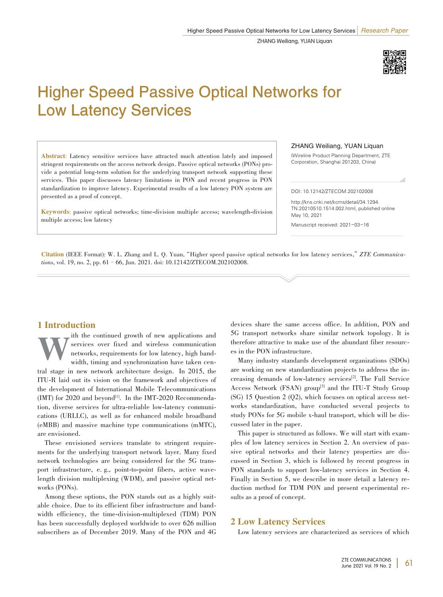

# Higher Speed Passive Optical Networks for Low Latency Services

Abstract: Latency sensitive services have attracted much attention lately and imposed stringent requirements on the access network design. Passive optical networks (PONs) provide a potential long-term solution for the underlying transport network supporting these services. This paper discusses latency limitations in PON and recent progress in PON standardization to improve latency. Experimental results of a low latency PON system are presented as a proof of concept.

Keywords: passive optical networks; time-division multiple access; wavelength-division multiple access; low latency

ZHANG Weiliang, YUAN Liquan

(Wireline Product Planning Department, ZTE Corporation, Shanghai 201203, China)

DOI: 10.12142/ZTECOM.202102008

http://kns.cnki.net/kcms/detail/34.1294. TN.20210510.1514.002.html, published online May 10, 2021

Manuscript received: 2021-03-16

Citation (IEEE Format): W. L. Zhang and L. Q. Yuan,"Higher speed passive optical networks for low latency services,"*ZTE Communica⁃ tions*, vol. 19, no. 2, pp. 61–66, Jun. 2021. doi: 10.12142/ZTECOM.202102008.

# 1 Introduction

The continued growth of new applications and services over fixed and wireless communication networks, requirements for low latency, high bandwidth, timing and synchronization have taken censervices over fixed and wireless communication networks, requirements for low latency, high bandwidth, timing and synchronization have taken central stage in new network architecture design. In 2015, the ITU-R laid out its vision on the framework and objectives of the development of International Mobile Telecommunications  $(MT)$  for 2020 and beyond<sup>[1]</sup>. In the IMT-2020 Recommendation, diverse services for ultra-reliable low-latency communications (URLLC), as well as for enhanced mobile broadband (eMBB) and massive machine type communications (mMTC), are envisioned.

These envisioned services translate to stringent requirements for the underlying transport network layer. Many fixed network technologies are being considered for the 5G transport infrastructure, e.g., point-to-point fibers, active wavelength division multiplexing (WDM), and passive optical networks (PONs).

Among these options, the PON stands out as a highly suitable choice. Due to its efficient fiber infrastructure and bandwidth efficiency, the time-division-multiplexed (TDM) PON has been successfully deployed worldwide to over 626 million subscribers as of December 2019. Many of the PON and 4G devices share the same access office. In addition, PON and 5G transport networks share similar network topology. It is therefore attractive to make use of the abundant fiber resources in the PON infrastructure.

Many industry standards development organizations (SDOs) are working on new standardization projects to address the increasing demands of low-latency services<sup>[2]</sup>. The Full Service Access Network (FSAN) group<sup>[3]</sup> and the ITU-T Study Group  $(SG)$  15 Question 2  $(Q2)$ , which focuses on optical access networks standardization, have conducted several projects to study PONs for 5G mobile x-haul transport, which will be discussed later in the paper.

This paper is structured as follows. We will start with examples of low latency services in Section 2. An overview of passive optical networks and their latency properties are discussed in Section 3, which is followed by recent progress in PON standards to support low-latency services in Section 4. Finally in Section 5, we describe in more detail a latency reduction method for TDM PON and present experimental results as a proof of concept.

# 2 Low Latency Services

Low latency services are characterized as services of which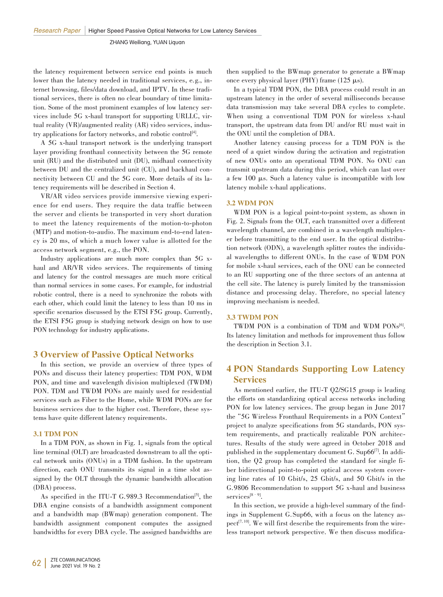the latency requirement between service end points is much lower than the latency needed in traditional services, e.g., internet browsing, files/data download, and IPTV. In these traditional services, there is often no clear boundary of time limitation. Some of the most prominent examples of low latency services include 5G x-haul transport for supporting URLLC, virtual reality (VR)/augmented reality (AR) video services, industry applications for factory networks, and robotic control<sup>[4]</sup>.

A 5G x-haul transport network is the underlying transport layer providing fronthaul connectivity between the 5G remote unit (RU) and the distributed unit (DU), midhaul connectivity between DU and the centralized unit (CU), and backhaul connectivity between CU and the 5G core. More details of its latency requirements will be described in Section 4.

VR/AR video services provide immersive viewing experience for end users. They require the data traffic between the server and clients be transported in very short duration to meet the latency requirements of the motion-to-photon (MTP) and motion-to-audio. The maximum end-to-end latency is 20 ms, of which a much lower value is allotted for the access network segment, e.g., the PON.

Industry applications are much more complex than 5G xhaul and AR/VR video services. The requirements of timing and latency for the control messages are much more critical than normal services in some cases. For example, for industrial robotic control, there is a need to synchronize the robots with each other, which could limit the latency to less than 10 ms in specific scenarios discussed by the ETSI F5G group. Currently, the ETSI F5G group is studying network design on how to use PON technology for industry applications.

# 3 Overview of Passive Optical Networks

In this section, we provide an overview of three types of PONs and discuss their latency properties: TDM PON, WDM PON, and time and wavelength division multiplexed (TWDM) PON. TDM and TWDM PONs are mainly used for residential services such as Fiber to the Home, while WDM PONs are for business services due to the higher cost. Therefore, these systems have quite different latency requirements.

### 3.1 TDM PON

In a TDM PON, as shown in Fig. 1, signals from the optical line terminal (OLT) are broadcasted downstream to all the optical network units (ONUs) in a TDM fashion. In the upstream direction, each ONU transmits its signal in a time slot assigned by the OLT through the dynamic bandwidth allocation (DBA) process.

As specified in the ITU-T G.989.3 Recommendation<sup>[5]</sup>, the DBA engine consists of a bandwidth assignment component and a bandwidth map (BWmap) generation component. The bandwidth assignment component computes the assigned bandwidths for every DBA cycle. The assigned bandwidths are

In a typical TDM PON, the DBA process could result in an upstream latency in the order of several milliseconds because data transmission may take several DBA cycles to complete. When using a conventional TDM PON for wireless x-haul transport, the upstream data from DU and/or RU must wait in the ONU until the completion of DBA.

Another latency causing process for a TDM PON is the need of a quiet window during the activation and registration of new ONUs onto an operational TDM PON. No ONU can transmit upstream data during this period, which can last over a few 100 µs. Such a latency value is incompatible with low latency mobile x-haul applications.

## 3.2 WDM PON

WDM PON is a logical point-to-point system, as shown in Fig. 2. Signals from the OLT, each transmitted over a different wavelength channel, are combined in a wavelength multiplexer before transmitting to the end user. In the optical distribution network (ODN), a wavelength splitter routes the individual wavelengths to different ONUs. In the case of WDM PON for mobile x-haul services, each of the ONU can be connected to an RU supporting one of the three sectors of an antenna at the cell site. The latency is purely limited by the transmission distance and processing delay. Therefore, no special latency improving mechanism is needed.

#### 3.3 TWDM PON

 $TWDM$  PON is a combination of TDM and WDM PONs<sup>[6]</sup>. Its latency limitation and methods for improvement thus follow the description in Section 3.1.

# 4 PON Standards Supporting Low Latency **Services**

As mentioned earlier, the ITU-T Q2/SG15 group is leading the efforts on standardizing optical access networks including PON for low latency services. The group began in June 2017 the"5G Wireless Fronthaul Requirements in a PON Context" project to analyze specifications from 5G standards, PON system requirements, and practically realizable PON architectures. Results of the study were agreed in October 2018 and published in the supplementary document  $G$ . Sup66<sup>[7]</sup>. In addition, the Q2 group has completed the standard for single fiber bidirectional point-to-point optical access system covering line rates of 10 Gbit/s, 25 Gbit/s, and 50 Gbit/s in the G.9806 Recommendation to support 5G x-haul and business services<sup>[8 - 9]</sup>.

In this section, we provide a high-level summary of the findings in Supplement G.Sup66, with a focus on the latency as- $\text{pect}^{[7,10]}$ . We will first describe the requirements from the wireless transport network perspective. We then discuss modifica-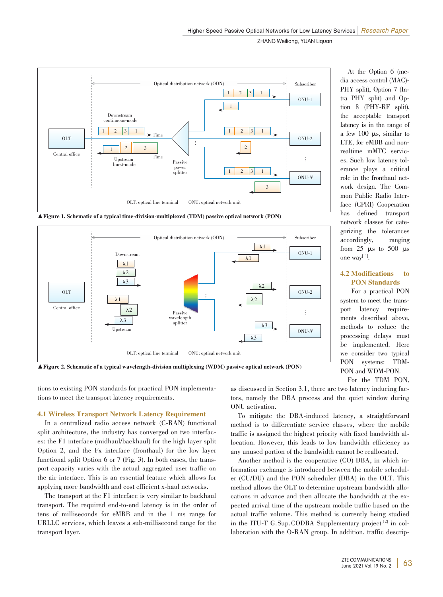

▲Figure 1. Schematic of a typical time-division-multiplexed (TDM) passive optical network (PON)



▲Figure 2. Schematic of a typical wavelength-division multiplexing (WDM) passive optical network (PON)

tions to existing PON standards for practical PON implementations to meet the transport latency requirements.

#### 4.1 Wireless Transport Network Latency Requirement

In a centralized radio access network (C-RAN) functional split architecture, the industry has converged on two interfaces: the F1 interface (midhaul/backhaul) for the high layer split Option 2, and the Fx interface (fronthaul) for the low layer functional split Option 6 or 7 (Fig. 3). In both cases, the transport capacity varies with the actual aggregated user traffic on the air interface. This is an essential feature which allows for applying more bandwidth and cost efficient x-haul networks.

The transport at the F1 interface is very similar to backhaul transport. The required end-to-end latency is in the order of tens of milliseconds for eMBB and in the 1 ms range for URLLC services, which leaves a sub-millisecond range for the transport layer.

At the Option 6 (media access control (MAC)- PHY split), Option 7 (Intra PHY split) and Option 8 (PHY-RF split), the acceptable transport latency is in the range of a few 100 µs, similar to LTE, for eMBB and nonrealtime mMTC services. Such low latency tolerance plays a critical role in the fronthaul network design. The Common Public Radio Interface (CPRI) Cooperation has defined transport network classes for cate⁃ gorizing the tolerances accordingly, ranging from 25  $\mu$ s to 500  $\mu$ s one  $way^{[11]}$ .

## 4.2 Modifications to PON Standards

For a practical PON system to meet the transport latency requirements described above, methods to reduce the processing delays must be implemented. Here we consider two typical<br>PON systems: TDMsystems: PON and WDM-PON.

For the TDM PON,

as discussed in Section 3.1, there are two latency inducing factors, namely the DBA process and the quiet window during ONU activation.

To mitigate the DBA-induced latency, a straightforward method is to differentiate service classes, where the mobile traffic is assigned the highest priority with fixed bandwidth al⁃ location. However, this leads to low bandwidth efficiency as any unused portion of the bandwidth cannot be reallocated.

Another method is the cooperative (CO) DBA, in which information exchange is introduced between the mobile scheduler (CU/DU) and the PON scheduler (DBA) in the OLT. This method allows the OLT to determine upstream bandwidth allocations in advance and then allocate the bandwidth at the expected arrival time of the upstream mobile traffic based on the actual traffic volume. This method is currently being studied in the ITU-T G.Sup.CODBA Supplementary project<sup>[12]</sup> in collaboration with the O-RAN group. In addition, traffic descrip-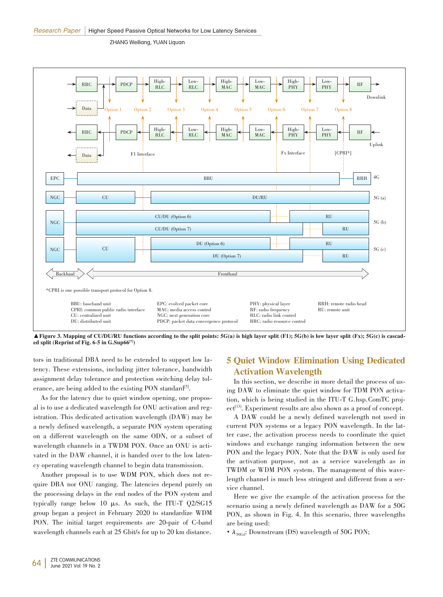

▲ Figure 3. Mapping of CU/DU/RU functions according to the split points: 5G(a) is high layer split (F1); 5G(b) is low layer split (Fx); 5G(c) is cascaded split (Reprint of Fig. 6-5 in G.Sup66<sup>[7]</sup>)

tors in traditional DBA need to be extended to support low latency. These extensions, including jitter tolerance, bandwidth assignment delay tolerance and protection switching delay tolerance, are being added to the existing PON standard<sup>[5]</sup>.

As for the latency due to quiet window opening, one proposal is to use a dedicated wavelength for ONU activation and registration. This dedicated activation wavelength (DAW) may be a newly defined wavelength, a separate PON system operating on a different wavelength on the same ODN, or a subset of wavelength channels in a TWDM PON. Once an ONU is activated in the DAW channel, it is handed over to the low latency operating wavelength channel to begin data transmission.

Another proposal is to use WDM PON, which does not require DBA nor ONU ranging. The latencies depend purely on the processing delays in the end nodes of the PON system and typically range below 10 µs. As such, the ITU-T Q2/SG15 group began a project in February 2020 to standardize WDM PON. The initial target requirements are 20-pair of C-band wavelength channels each at 25 Gbit/s for up to 20 km distance.

# 5 Quiet Window Elimination Using Dedicated Activation Wavelength

In this section, we describe in more detail the process of using DAW to eliminate the quiet window for TDM PON activation, which is being studied in the ITU-T G.hsp.ComTC project<sup>[13]</sup>. Experiment results are also shown as a proof of concept.

A DAW could be a newly defined wavelength not used in current PON systems or a legacy PON wavelength. In the latter case, the activation process needs to coordinate the quiet windows and exchange ranging information between the new PON and the legacy PON. Note that the DAW is only used for the activation purpose, not as a service wavelength as in TWDM or WDM PON system. The management of this wavelength channel is much less stringent and different from a service channel.

Here we give the example of the activation process for the scenario using a newly defined wavelength as DAW for a 50G PON, as shown in Fig. 4. In this scenario, three wavelengths are being used:

•  $\lambda_{\text{50Gd}}$ : Downstream (DS) wavelength of 50G PON;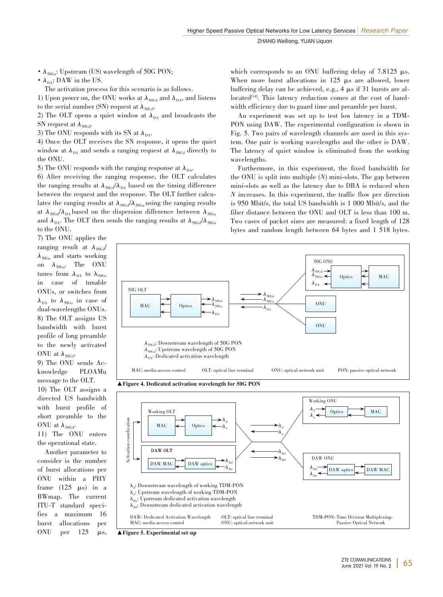•  $\lambda_{50\text{Gu}}$ : Upstream (US) wavelength of 50G PON;

•  $\lambda_{\text{DA}}$ : DAW in the US.

The activation process for this scenario is as follows.

1) Upon power on, the ONU works at  $\lambda_{\text{50Gd}}$  and  $\lambda_{\text{DA}}$ , and listens

to the serial number (SN) request at  $\lambda_{50\text{Gd}}$ .

2) The OLT opens a quiet window at  $\lambda_{DA}$  and broadcasts the SN request at  $\lambda_{50\text{Gd}}$ .

3) The ONU responds with its SN at  $\lambda_{DA}$ .

4) Once the OLT receives the SN response, it opens the quiet window at  $\lambda_{DA}$  and sends a ranging request at  $\lambda_{50Gd}$  directly to the ONU.

5) The ONU responds with the ranging response at  $\lambda_{DA}$ .

6) After receiving the ranging response, the OLT calculates the ranging results at  $\lambda_{50\text{Gd}}/\lambda_{\text{DA}}$  based on the timing difference between the request and the response. The OLT further calculates the ranging results at  $\lambda_{50\text{Gd}}/\lambda_{50\text{Gu}}$  using the ranging results at  $\lambda_{50\text{Gd}}/\lambda_{\text{DA}}$  based on the dispersion difference between  $\lambda_{50\text{Gu}}$ and  $\lambda_{DA}$ . The OLT then sends the ranging results at  $\lambda_{50\text{Gd}}/\lambda_{50\text{Gd}}$ to the ONU.

which corresponds to an ONU buffering delay of  $7.8125 \mu s$ . When more burst allocations in 125  $\mu$ s are allowed, lower buffering delay can be achieved, e.g., 4  $\mu s$  if 31 bursts are allocated<sup>[14]</sup>. This latency reduction comes at the cost of bandwidth efficiency due to guard time and preamble per burst.

An experiment was set up to test low latency in a TDM-PON using DAW. The experimental configuration is shown in Fig. 5. Two pairs of wavelength channels are used in this system. One pair is working wavelengths and the other is DAW. The latency of quiet window is eliminated from the working wavelengths.

Furthermore, in this experiment, the fixed bandwidth for the ONU is split into multiple (*N*) mini-slots. The gap between mini-slots as well as the latency due to DBA is reduced when *N* increases. In this experiment, the traffic flow per direction is 950 Mbit/s, the total US bandwidth is 1 000 Mbit/s, and the fiber distance between the ONU and OLT is less than 100 m. Two cases of packet sizes are measured: a fixed length of 128 bytes and random length between 64 bytes and 1 518 bytes.

7) The ONU applies the ranging result at  $\lambda_{50\text{Gd}}$  $\lambda_{50Gu}$  and starts working on  $\lambda_{50\text{Gu}}$ . The ONU tunes from  $\lambda_{DA}$  to  $\lambda_{50Gu}$ in case of tunable ONUs, or switches from  $\lambda_{DA}$  to  $\lambda_{50Gu}$  in case of dual-wavelengths ONUs. 8) The OLT assigns US bandwidth with burst profile of long preamble to the newly activated ONU at  $\lambda_{50\text{Gd}}$ .

9) The ONU sends Ac⁃ knowledge PLOAMu message to the OLT.

10) The OLT assigns a directed US bandwidth with burst profile of short preamble to the ONU at  $\lambda_{50\text{Gd}}$ .

11) The ONU enters the operational state.

Another parameter to consider is the number of burst allocations per ONU within a PHY frame  $(125 \mu s)$  in a BWmap. The current ITU-T standard speci⁃ fies a maximum 16 burst allocations per ONU per  $125 \mu s$ ,



▲Figure 5. Experimental set-up